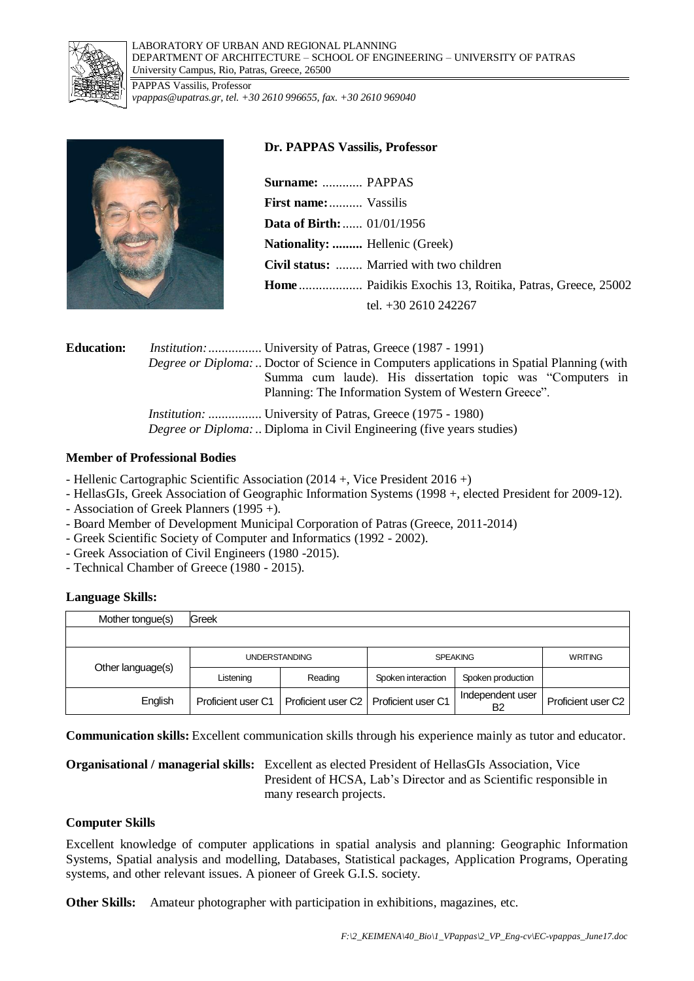

LABORATORY OF URBAN AND REGIONAL PLANNING DEPARTMENT OF ARCHITECTURE – SCHOOL OF ENGINEERING – UNIVERSITY OF PATRAS *U*niversity Campus, Rio, Patras, Greece, 26500

PAPPAS Vassilis, Professor *vpappas@upatras.gr, tel. +30 2610 996655, fax. +30 2610 969040*



## **Dr. PAPPAS Vassilis, Professor**

**Surname:** ............ PAPPAS **First name:**.......... Vassilis **Data of Birth:**...... 01/01/1956 **Nationality: .........** Hellenic (Greek) **Civil status:** ........ Married with two children **Home** ................... Paidikis Exochis 13, Roitika, Patras, Greece, 25002 tel. +30 2610 242267

| <b>Education:</b> | <i>Institution:</i> University of Patras, Greece (1987 - 1991)<br><i>Degree or Diploma:</i> Doctor of Science in Computers applications in Spatial Planning (with<br>Summa cum laude). His dissertation topic was "Computers in<br>Planning: The Information System of Western Greece". |
|-------------------|-----------------------------------------------------------------------------------------------------------------------------------------------------------------------------------------------------------------------------------------------------------------------------------------|
|                   | <i>Institution:</i> University of Patras, Greece (1975 - 1980)<br><i>Degree or Diploma:</i> Diploma in Civil Engineering (five years studies)                                                                                                                                           |

### **Member of Professional Bodies**

- Hellenic Cartographic Scientific Association (2014 +, Vice President 2016 +)
- HellasGIs, Greek Association of Geographic Information Systems (1998 +, elected President for 2009-12).
- Association of Greek Planners (1995 +).
- Board Member of Development Municipal Corporation of Patras (Greece, 2011-2014)
- Greek Scientific Society of Computer and Informatics (1992 2002).
- Greek Association of Civil Engineers (1980 -2015).
- Technical Chamber of Greece (1980 2015).

# **Language Skills:**

| Mother tongue(s)  | Greek                |                                         |                    |                        |                    |
|-------------------|----------------------|-----------------------------------------|--------------------|------------------------|--------------------|
|                   |                      |                                         |                    |                        |                    |
|                   | <b>UNDERSTANDING</b> |                                         | <b>SPEAKING</b>    |                        | <b>WRITING</b>     |
| Other language(s) | Listening            | Reading                                 | Spoken interaction | Spoken production      |                    |
| English           | Proficient user C1   | Proficient user C2   Proficient user C1 |                    | Independent user<br>B2 | Proficient user C2 |

**Communication skills:** Excellent communication skills through his experience mainly as tutor and educator.

**Organisational / managerial skills:** Excellent as elected President of HellasGIs Association, Vice President of HCSA, Lab's Director and as Scientific responsible in many research projects.

# **Computer Skills**

Excellent knowledge of computer applications in spatial analysis and planning: Geographic Information Systems, Spatial analysis and modelling, Databases, Statistical packages, Application Programs, Operating systems, and other relevant issues. A pioneer of Greek G.I.S. society.

**Other Skills:** Amateur photographer with participation in exhibitions, magazines, etc.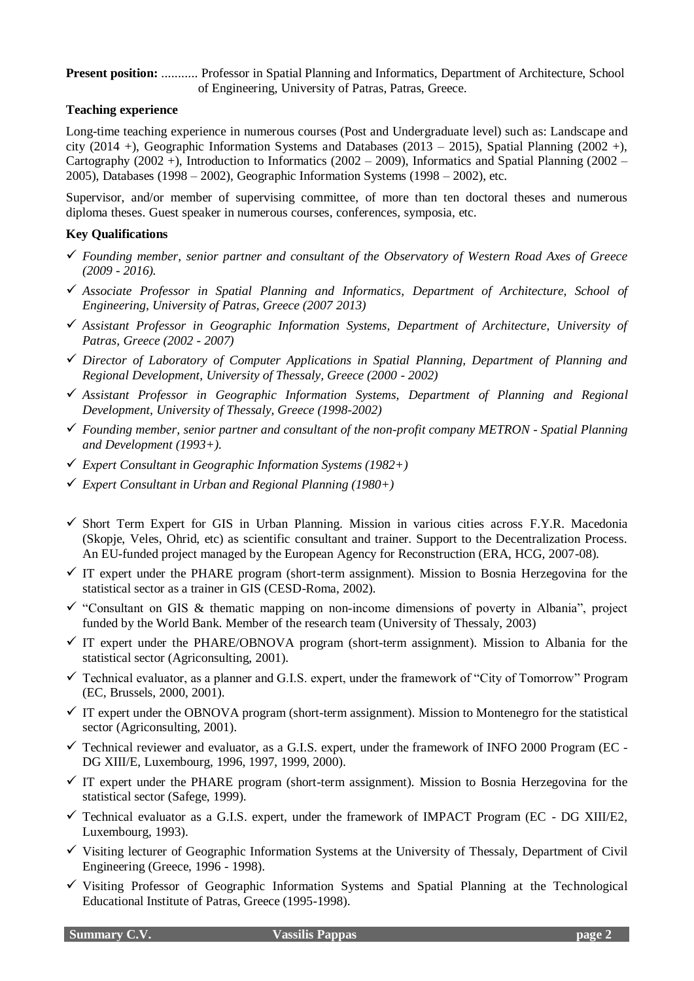**Present position:** ........... Professor in Spatial Planning and Informatics, Department of Architecture, School of Engineering, University of Patras, Patras, Greece.

## **Teaching experience**

Long-time teaching experience in numerous courses (Post and Undergraduate level) such as: Landscape and city (2014 +), Geographic Information Systems and Databases (2013 – 2015), Spatial Planning (2002 +), Cartography (2002 +). Introduction to Informatics (2002 – 2009), Informatics and Spatial Planning (2002 – 2005), Databases (1998 – 2002), Geographic Information Systems (1998 – 2002), etc.

Supervisor, and/or member of supervising committee, of more than ten doctoral theses and numerous diploma theses. Guest speaker in numerous courses, conferences, symposia, etc.

### **Key Qualifications**

- *Founding member, senior partner and consultant of the Observatory of Western Road Axes of Greece (2009 - 2016).*
- *Associate Professor in Spatial Planning and Informatics, Department of Architecture, School of Engineering, University of Patras, Greece (2007 2013)*
- *Assistant Professor in Geographic Information Systems, Department of Architecture, University of Patras, Greece (2002 - 2007)*
- *Director of Laboratory of Computer Applications in Spatial Planning, Department of Planning and Regional Development, University of Thessaly, Greece (2000 - 2002)*
- *Assistant Professor in Geographic Information Systems, Department of Planning and Regional Development, University of Thessaly, Greece (1998-2002)*
- *Founding member, senior partner and consultant of the non-profit company METRON - Spatial Planning and Development (1993+).*
- *Expert Consultant in Geographic Information Systems (1982+)*
- *Expert Consultant in Urban and Regional Planning (1980+)*
- $\checkmark$  Short Term Expert for GIS in Urban Planning. Mission in various cities across F.Y.R. Macedonia (Skopje, Veles, Ohrid, etc) as scientific consultant and trainer. Support to the Decentralization Process. An EU-funded project managed by the European Agency for Reconstruction (ERA, HCG, 2007-08).
- $\checkmark$  IT expert under the PHARE program (short-term assignment). Mission to Bosnia Herzegovina for the statistical sector as a trainer in GIS (CESD-Roma, 2002).
- $\checkmark$  "Consultant on GIS & thematic mapping on non-income dimensions of poverty in Albania", project funded by the World Bank. Member of the research team (University of Thessaly, 2003)
- $\checkmark$  IT expert under the PHARE/OBNOVA program (short-term assignment). Mission to Albania for the statistical sector (Agriconsulting, 2001).
- $\checkmark$  Technical evaluator, as a planner and G.I.S. expert, under the framework of "City of Tomorrow" Program (EC, Brussels, 2000, 2001).
- $\checkmark$  IT expert under the OBNOVA program (short-term assignment). Mission to Montenegro for the statistical sector (Agriconsulting, 2001).
- $\checkmark$  Technical reviewer and evaluator, as a G.I.S. expert, under the framework of INFO 2000 Program (EC -DG XIII/E, Luxembourg, 1996, 1997, 1999, 2000).
- $\checkmark$  IT expert under the PHARE program (short-term assignment). Mission to Bosnia Herzegovina for the statistical sector (Safege, 1999).
- $\checkmark$  Technical evaluator as a G.I.S. expert, under the framework of IMPACT Program (EC DG XIII/E2, Luxembourg, 1993).
- $\checkmark$  Visiting lecturer of Geographic Information Systems at the University of Thessaly, Department of Civil Engineering (Greece, 1996 - 1998).
- $\checkmark$  Visiting Professor of Geographic Information Systems and Spatial Planning at the Technological Educational Institute of Patras, Greece (1995-1998).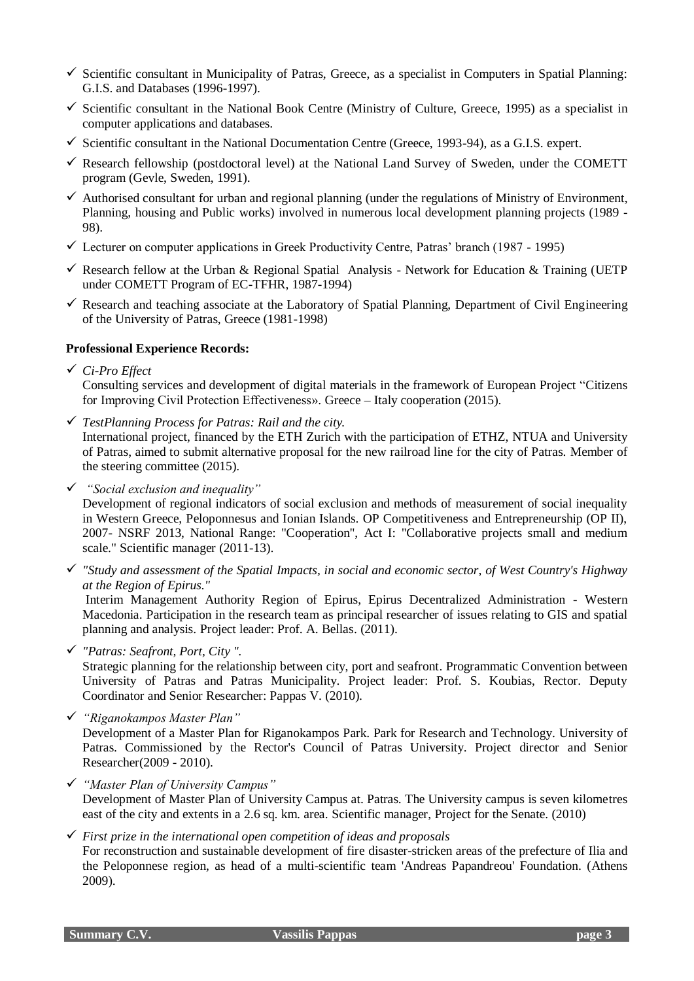- $\checkmark$  Scientific consultant in Municipality of Patras, Greece, as a specialist in Computers in Spatial Planning: G.I.S. and Databases (1996-1997).
- $\checkmark$  Scientific consultant in the National Book Centre (Ministry of Culture, Greece, 1995) as a specialist in computer applications and databases.
- $\checkmark$  Scientific consultant in the National Documentation Centre (Greece, 1993-94), as a G.I.S. expert.
- $\checkmark$  Research fellowship (postdoctoral level) at the National Land Survey of Sweden, under the COMETT program (Gevle, Sweden, 1991).
- $\checkmark$  Authorised consultant for urban and regional planning (under the regulations of Ministry of Environment, Planning, housing and Public works) involved in numerous local development planning projects (1989 - 98).
- $\checkmark$  Lecturer on computer applications in Greek Productivity Centre, Patras' branch (1987 1995)
- Research fellow at the Urban & Regional Spatial Analysis Network for Education & Training (UETP) under COMETT Program of EC-TFHR, 1987-1994)
- $\checkmark$  Research and teaching associate at the Laboratory of Spatial Planning, Department of Civil Engineering of the University of Patras, Greece (1981-1998)

### **Professional Experience Records:**

*Ci-Pro Effect*

Consulting services and development of digital materials in the framework of European Project "Citizens for Improving Civil Protection Effectiveness». Greece – Italy cooperation (2015).

*TestPlanning Process for Patras: Rail and the city.*

International project, financed by the EΤΗ Zurich with the participation of ETHZ, NTUA and University of Patras, aimed to submit alternative proposal for the new railroad line for the city of Patras. Member of the steering committee (2015).

*"Social exclusion and inequality"*

Development of regional indicators of social exclusion and methods of measurement of social inequality in Western Greece, Peloponnesus and Ionian Islands. OP Competitiveness and Entrepreneurship (OP II), 2007- NSRF 2013, National Range: "Cooperation", Act I: "Collaborative projects small and medium scale." Scientific manager (2011-13).

 *"Study and assessment of the Spatial Impacts, in social and economic sector, of West Country's Highway at the Region of Epirus."*

Interim Management Authority Region of Epirus, Epirus Decentralized Administration - Western Macedonia. Participation in the research team as principal researcher of issues relating to GIS and spatial planning and analysis. Project leader: Prof. A. Bellas. (2011).

*"Patras: Seafront, Port, City ".*

Strategic planning for the relationship between city, port and seafront. Programmatic Convention between University of Patras and Patras Municipality. Project leader: Prof. S. Koubias, Rector. Deputy Coordinator and Senior Researcher: Pappas V. (2010).

*"Riganokampos Master Plan"*

Development of a Master Plan for Riganokampos Park. Park for Research and Technology. University of Patras. Commissioned by the Rector's Council of Patras University. Project director and Senior Researcher(2009 - 2010).

 *"Master Plan of University Campus"* Development of Master Plan of University Campus at. Patras. The University campus is seven kilometres east of the city and extents in a 2.6 sq. km. area. Scientific manager, Project for the Senate. (2010)

 *First prize in the international open competition of ideas and proposals* For reconstruction and sustainable development of fire disaster-stricken areas of the prefecture of Ilia and the Peloponnese region, as head of a multi-scientific team 'Andreas Papandreou' Foundation. (Athens 2009).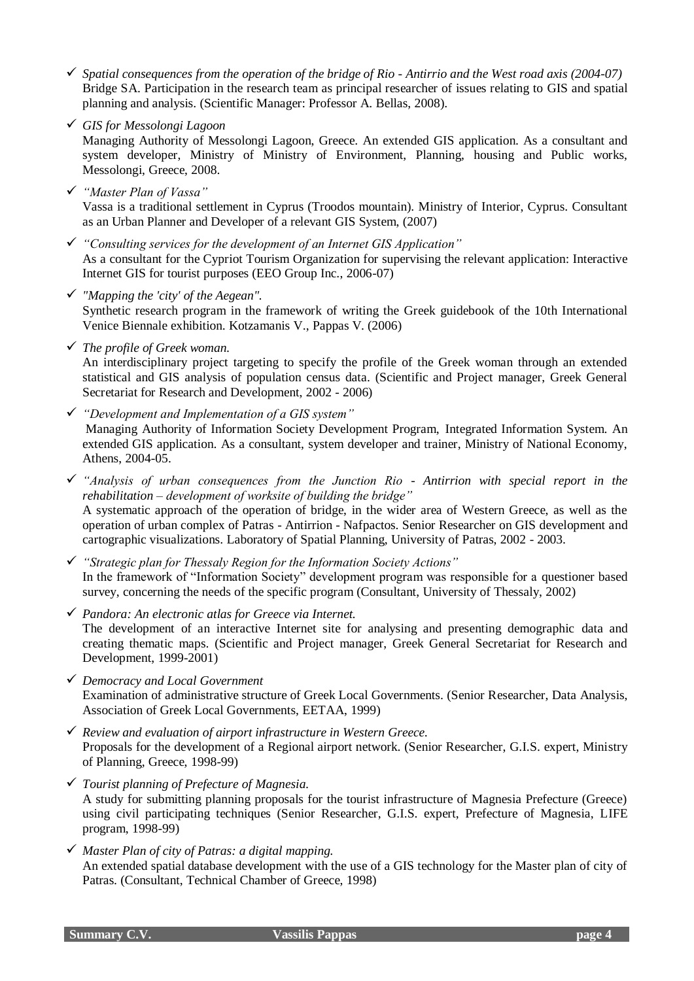- *Spatial consequences from the operation of the bridge of Rio - Antirrio and the West road axis (2004-07)* Bridge SA. Participation in the research team as principal researcher of issues relating to GIS and spatial planning and analysis. (Scientific Manager: Professor A. Bellas, 2008).
- *GIS for Messolongi Lagoon*

Managing Authority of Messolongi Lagoon, Greece. An extended GIS application. As a consultant and system developer, Ministry of Ministry of Environment, Planning, housing and Public works, Messolongi, Greece, 2008.

*"Master Plan of Vassa"*

Vassa is a traditional settlement in Cyprus (Troodos mountain). Ministry of Interior, Cyprus. Consultant as an Urban Planner and Developer of a relevant GIS System, (2007)

- *"Consulting services for the development of an Internet GIS Application"*  As a consultant for the Cypriot Tourism Organization for supervising the relevant application: Interactive Internet GIS for tourist purposes (EEO Group Inc., 2006-07)
- *"Mapping the 'city' of the Aegean".* Synthetic research program in the framework of writing the Greek guidebook of the 10th International Venice Biennale exhibition. Kotzamanis V., Pappas V. (2006)
- *The profile of Greek woman.*

An interdisciplinary project targeting to specify the profile of the Greek woman through an extended statistical and GIS analysis of population census data. (Scientific and Project manager, Greek General Secretariat for Research and Development, 2002 - 2006)

- *"Development and Implementation of a GIS system"* Managing Authority of Information Society Development Program, Integrated Information System. An extended GIS application. As a consultant, system developer and trainer, Ministry of National Economy, Athens, 2004-05.
- *"Analysis of urban consequences from the Junction Rio - Antirrion with special report in the rehabilitation – development of worksite of building the bridge"* A systematic approach of the operation of bridge, in the wider area of Western Greece, as well as the operation of urban complex of Patras - Antirrion - Nafpactos. Senior Researcher on GIS development and cartographic visualizations. Laboratory of Spatial Planning, University of Patras, 2002 - 2003.
- *"Strategic plan for Thessaly Region for the Information Society Actions"* In the framework of "Information Society" development program was responsible for a questioner based survey, concerning the needs of the specific program (Consultant, University of Thessaly, 2002)
- *Pandora: An electronic atlas for Greece via Internet.* The development of an interactive Internet site for analysing and presenting demographic data and creating thematic maps. (Scientific and Project manager, Greek General Secretariat for Research and Development, 1999-2001)
- *Democracy and Local Government* Examination of administrative structure of Greek Local Governments. (Senior Researcher, Data Analysis, Association of Greek Local Governments, EETAA, 1999)
- *Review and evaluation of airport infrastructure in Western Greece.* Proposals for the development of a Regional airport network. (Senior Researcher, G.I.S. expert, Ministry of Planning, Greece, 1998-99)
- *Tourist planning of Prefecture of Magnesia.* A study for submitting planning proposals for the tourist infrastructure of Magnesia Prefecture (Greece) using civil participating techniques (Senior Researcher, G.I.S. expert, Prefecture of Magnesia, LIFE program, 1998-99)
- *Master Plan of city of Patras: a digital mapping.* An extended spatial database development with the use of a GIS technology for the Master plan of city of Patras. (Consultant, Technical Chamber of Greece, 1998)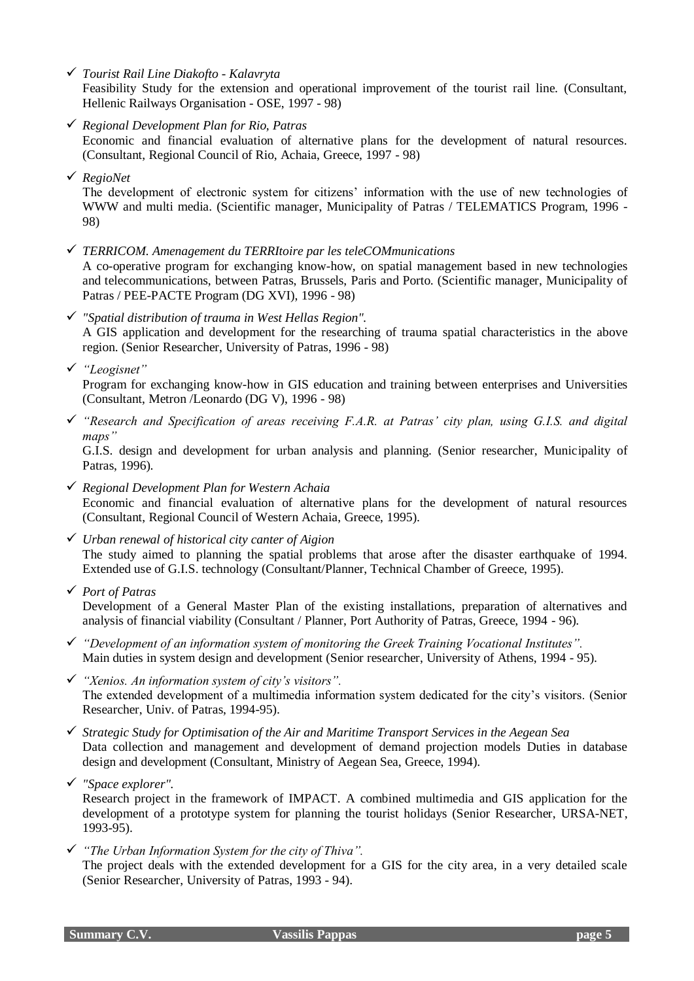*Tourist Rail Line Diakofto - Kalavryta*

Feasibility Study for the extension and operational improvement of the tourist rail line. (Consultant, Hellenic Railways Organisation - OSE, 1997 - 98)

- *Regional Development Plan for Rio, Patras* Economic and financial evaluation of alternative plans for the development of natural resources. (Consultant, Regional Council of Rio, Achaia, Greece, 1997 - 98)
- *RegioNet*

The development of electronic system for citizens' information with the use of new technologies of WWW and multi media. (Scientific manager, Municipality of Patras / TELEMATICS Program, 1996 - 98)

- *TERRICOM. Amenagement du TERRItoire par les teleCOMmunications* A co-operative program for exchanging know-how, on spatial management based in new technologies and telecommunications, between Patras, Brussels, Paris and Porto. (Scientific manager, Municipality of Patras / PEE-PACTE Program (DG XVI), 1996 - 98)
- *"Spatial distribution of trauma in West Hellas Region".* A GIS application and development for the researching of trauma spatial characteristics in the above region. (Senior Researcher, University of Patras, 1996 - 98)
- *"Leogisnet"*

Program for exchanging know-how in GIS education and training between enterprises and Universities (Consultant, Metron /Leonardo (DG V), 1996 - 98)

 *"Research and Specification of areas receiving F.A.R. at Patras' city plan, using G.I.S. and digital maps"*

G.I.S. design and development for urban analysis and planning. (Senior researcher, Municipality of Patras, 1996).

- *Regional Development Plan for Western Achaia* Economic and financial evaluation of alternative plans for the development of natural resources (Consultant, Regional Council of Western Achaia, Greece, 1995).
- *Urban renewal of historical city canter of Aigion* The study aimed to planning the spatial problems that arose after the disaster earthquake of 1994. Extended use of G.I.S. technology (Consultant/Planner, Technical Chamber of Greece, 1995).
- *Port of Patras*

Development of a General Master Plan of the existing installations, preparation of alternatives and analysis of financial viability (Consultant / Planner, Port Authority of Patras, Greece, 1994 - 96).

- *"Development of an information system of monitoring the Greek Training Vocational Institutes".* Main duties in system design and development (Senior researcher, University of Athens, 1994 - 95).
- *"Xenios. An information system of city's visitors".* The extended development of a multimedia information system dedicated for the city's visitors. (Senior Researcher, Univ. of Patras, 1994-95).
- *Strategic Study for Optimisation of the Air and Maritime Transport Services in the Aegean Sea* Data collection and management and development of demand projection models Duties in database design and development (Consultant, Ministry of Aegean Sea, Greece, 1994).
- *"Space explorer".*

Research project in the framework of IMPACT. A combined multimedia and GIS application for the development of a prototype system for planning the tourist holidays (Senior Researcher, URSA-NET, 1993-95).

*"The Urban Information System for the city of Thiva".*

The project deals with the extended development for a GIS for the city area, in a very detailed scale (Senior Researcher, University of Patras, 1993 - 94).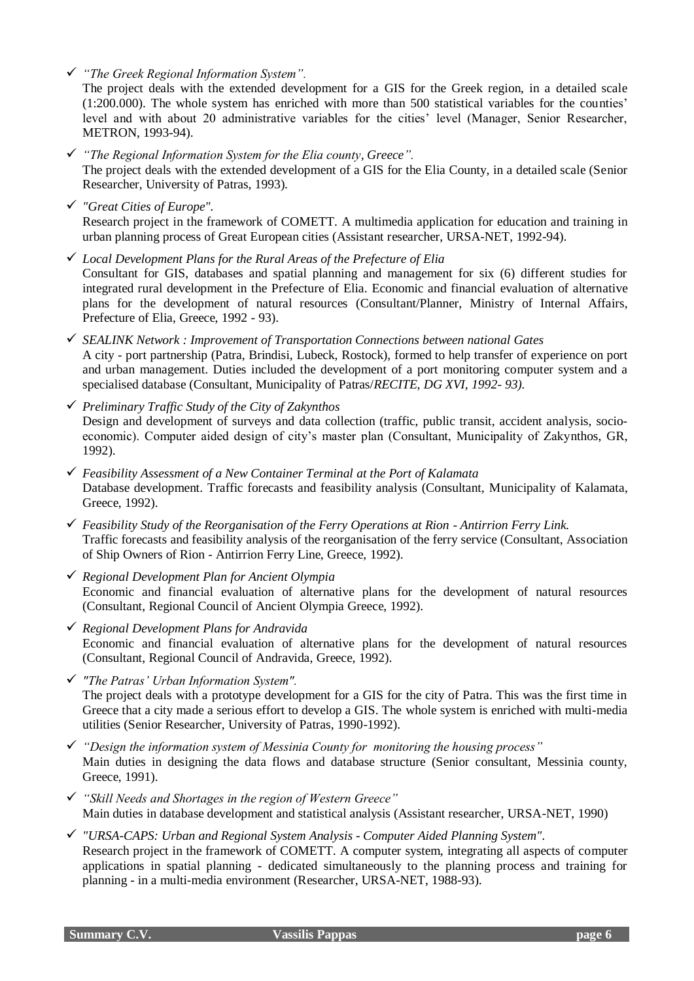*"The Greek Regional Information System".*

The project deals with the extended development for a GIS for the Greek region, in a detailed scale (1:200.000). The whole system has enriched with more than 500 statistical variables for the counties' level and with about 20 administrative variables for the cities' level (Manager, Senior Researcher, METRON, 1993-94).

- *"The Regional Information System for the Elia county, Greece".* The project deals with the extended development of a GIS for the Elia County, in a detailed scale (Senior Researcher, University of Patras, 1993).
- *"Great Cities of Europe".* Research project in the framework of COMETT. A multimedia application for education and training in urban planning process of Great European cities (Assistant researcher, URSA-NET, 1992-94).
- *Local Development Plans for the Rural Areas of the Prefecture of Elia* Consultant for GIS, databases and spatial planning and management for six (6) different studies for integrated rural development in the Prefecture of Elia. Economic and financial evaluation of alternative plans for the development of natural resources (Consultant/Planner, Ministry of Internal Affairs, Prefecture of Elia, Greece, 1992 - 93).
- *SEALINK Network : Improvement of Transportation Connections between national Gates* A city - port partnership (Patra, Brindisi, Lubeck, Rostock), formed to help transfer of experience on port and urban management. Duties included the development of a port monitoring computer system and a specialised database (Consultant, Municipality of Patras/*RECITE, DG XVI, 1992- 93).*
- *Preliminary Traffic Study of the City of Zakynthos* Design and development of surveys and data collection (traffic, public transit, accident analysis, socioeconomic). Computer aided design of city's master plan (Consultant, Municipality of Zakynthos, GR, 1992).
- *Feasibility Assessment of a New Container Terminal at the Port of Kalamata* Database development. Traffic forecasts and feasibility analysis (Consultant, Municipality of Kalamata, Greece, 1992).
- *Feasibility Study of the Reorganisation of the Ferry Operations at Rion - Antirrion Ferry Link.* Traffic forecasts and feasibility analysis of the reorganisation of the ferry service (Consultant, Association of Ship Owners of Rion - Antirrion Ferry Line, Greece, 1992).
- *Regional Development Plan for Ancient Olympia* Economic and financial evaluation of alternative plans for the development of natural resources (Consultant, Regional Council of Ancient Olympia Greece, 1992).
- *Regional Development Plans for Andravida* Economic and financial evaluation of alternative plans for the development of natural resources (Consultant, Regional Council of Andravida, Greece, 1992).
- *"The Patras' Urban Information System".* The project deals with a prototype development for a GIS for the city of Patra. This was the first time in Greece that a city made a serious effort to develop a GIS. The whole system is enriched with multi-media utilities (Senior Researcher, University of Patras, 1990-1992).
- *"Design the information system of Messinia County for monitoring the housing process"* Main duties in designing the data flows and database structure (Senior consultant, Messinia county, Greece, 1991).
- *"Skill Needs and Shortages in the region of Western Greece"* Main duties in database development and statistical analysis (Assistant researcher, URSA-NET, 1990)
- *"URSA-CAPS: Urban and Regional System Analysis - Computer Aided Planning System".* Research project in the framework of COMETT. A computer system, integrating all aspects of computer applications in spatial planning - dedicated simultaneously to the planning process and training for planning - in a multi-media environment (Researcher, URSA-NET, 1988-93).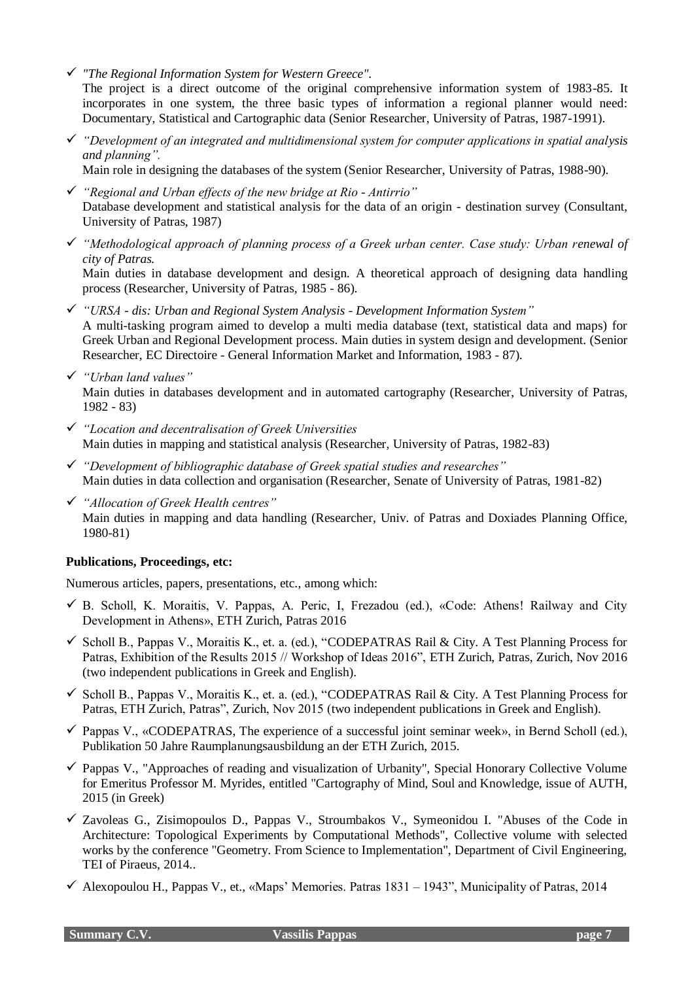- *"The Regional Information System for Western Greece".* The project is a direct outcome of the original comprehensive information system of 1983-85. It incorporates in one system, the three basic types of information a regional planner would need:
- *"Development of an integrated and multidimensional system for computer applications in spatial analysis and planning".*

Documentary, Statistical and Cartographic data (Senior Researcher, University of Patras, 1987-1991).

Main role in designing the databases of the system (Senior Researcher, University of Patras, 1988-90).

- *"Regional and Urban effects of the new bridge at Rio - Antirrio"* Database development and statistical analysis for the data of an origin - destination survey (Consultant, University of Patras, 1987)
- *"Methodological approach of planning process of a Greek urban center. Case study: Urban renewal of city of Patras.*

Main duties in database development and design. A theoretical approach of designing data handling process (Researcher, University of Patras, 1985 - 86).

- *"URSA - dis: Urban and Regional System Analysis - Development Information System"* A multi-tasking program aimed to develop a multi media database (text, statistical data and maps) for Greek Urban and Regional Development process. Main duties in system design and development. (Senior Researcher, EC Directoire - General Information Market and Information, 1983 - 87).
- *"Urban land values"*

Main duties in databases development and in automated cartography (Researcher, University of Patras, 1982 - 83)

- *"Location and decentralisation of Greek Universities* Main duties in mapping and statistical analysis (Researcher, University of Patras, 1982-83)
- *"Development of bibliographic database of Greek spatial studies and researches"* Main duties in data collection and organisation (Researcher, Senate of University of Patras, 1981-82)
- *"Allocation of Greek Health centres"* Main duties in mapping and data handling (Researcher, Univ. of Patras and Doxiades Planning Office, 1980-81)

### **Publications, Proceedings, etc:**

Numerous articles, papers, presentations, etc., among which:

- $\checkmark$  B. Scholl, K. Moraitis, V. Pappas, A. Peric, I, Frezadou (ed.), «Code: Athens! Railway and City Development in Athens», ETH Zurich, Patras 2016
- $\checkmark$  Scholl B., Pappas V., Moraitis K., et. a. (ed.), "CODEPATRAS Rail & City. A Test Planning Process for Patras, Exhibition of the Results 2015 // Workshop of Ideas 2016", ETH Zurich, Patras, Zurich, Nov 2016 (two independent publications in Greek and English).
- $\checkmark$  Scholl B., Pappas V., Moraitis K., et. a. (ed.), "CODEPATRAS Rail & City. A Test Planning Process for Patras, ETH Zurich, Patras", Zurich, Nov 2015 (two independent publications in Greek and English).
- $\checkmark$  Pappas V., «CODEPATRAS, The experience of a successful joint seminar week», in Bernd Scholl (ed.), Publikation 50 Jahre Raumplanungsausbildung an der ETH Zurich, 2015.
- $\checkmark$  Pappas V., "Approaches of reading and visualization of Urbanity", Special Honorary Collective Volume for Emeritus Professor M. Myrides, entitled "Cartography of Mind, Soul and Knowledge, issue of AUTH, 2015 (in Greek)
- $\checkmark$  Zavoleas G., Zisimopoulos D., Pappas V., Stroumbakos V., Symeonidou I. "Abuses of the Code in Architecture: Topological Experiments by Computational Methods", Collective volume with selected works by the conference "Geometry. From Science to Implementation", Department of Civil Engineering, TEI of Piraeus, 2014..
- $\checkmark$  Alexopoulou H., Pappas V., et., «Maps' Memories. Patras 1831 1943", Municipality of Patras, 2014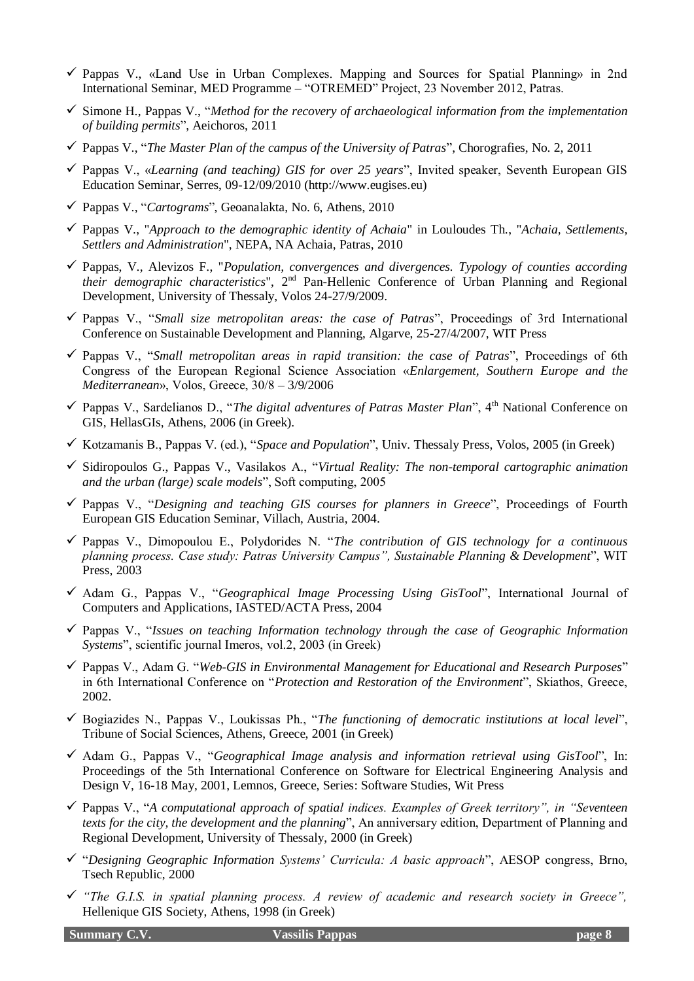- $\checkmark$  Pappas V., «Land Use in Urban Complexes. Mapping and Sources for Spatial Planning» in 2nd International Seminar, MED Programme – "OTREMED" Project, 23 November 2012, Patras.
- Simone H., Pappas V., "*Method for the recovery of archaeological information from the implementation of building permits*", Aeichoros, 2011
- Pappas V., "*The Master Plan of the campus of the University of Patras*", Chorografies, No. 2, 2011
- Pappas V., «*Learning (and teaching) GIS for over 25 years*", Invited speaker, Seventh European GIS Education Seminar, Serres, 09-12/09/2010 (http://www.eugises.eu)
- Pappas V., "*Cartograms*", Geoanalakta, No. 6, Athens, 2010
- Pappas V., "*Approach to the demographic identity of Achaia*" in Louloudes Th., "*Achaia, Settlements, Settlers and Administration*", NEPA, NA Achaia, Patras, 2010
- Pappas, V., Alevizos F., "*Population, convergences and divergences. Typology of counties according their demographic characteristics*", 2nd Pan-Hellenic Conference of Urban Planning and Regional Development, University of Thessaly, Volos 24-27/9/2009.
- Pappas V., "*Small size metropolitan areas: the case of Patras*", Proceedings of 3rd International Conference on Sustainable Development and Planning, Algarve, 25-27/4/2007, WIT Press
- Pappas V., "*Small metropolitan areas in rapid transition: the case of Patras*", Proceedings of 6th Congress of the European Regional Science Association «*Enlargement, Southern Europe and the Mediterranean*», Volos, Greece, 30/8 – 3/9/2006
- Pappas V., Sardelianos D., "*The digital adventures of Patras Master Plan*", 4th National Conference on GIS, HellasGIs, Athens, 2006 (in Greek).
- Kotzamanis B., Pappas V. (ed.), "*Space and Population*", Univ. Thessaly Press, Volos, 2005 (in Greek)
- Sidiropoulos G., Pappas V., Vasilakos A., "*Virtual Reality: The non-temporal cartographic animation and the urban (large) scale models*", Soft computing, 2005
- Pappas V., "*Designing and teaching GIS courses for planners in Greece*", Proceedings of Fourth European GIS Education Seminar, Villach, Austria, 2004.
- Pappas V., Dimopoulou E., Polydorides N. "*The contribution of GIS technology for a continuous planning process. Case study: Patras University Campus", Sustainable Planning & Development*", WIT Press, 2003
- Adam G., Pappas V., "*Geographical Image Processing Using GisTool*", International Journal of Computers and Applications, IASTED/ACTA Press, 2004
- Pappas V., "*Issues on teaching Information technology through the case of Geographic Information Systems*", scientific journal Imeros, vol.2, 2003 (in Greek)
- Pappas V., Adam G. "*Web-GIS in Environmental Management for Educational and Research Purposes*" in 6th International Conference on "*Protection and Restoration of the Environment*", Skiathos, Greece, 2002.
- Bogiazides N., Pappas V., Loukissas Ph., "*The functioning of democratic institutions at local level*", Tribune of Social Sciences, Athens, Greece, 2001 (in Greek)
- Adam G., Pappas V., "*Geographical Image analysis and information retrieval using GisTool*", In: Proceedings of the 5th International Conference on Software for Electrical Engineering Analysis and Design V, 16-18 May, 2001, Lemnos, Greece, Series: Software Studies, Wit Press
- Pappas V., "*A computational approach of spatial indices. Examples of Greek territory", in "Seventeen texts for the city, the development and the planning*", An anniversary edition, Department of Planning and Regional Development, University of Thessaly, 2000 (in Greek)
- "*Designing Geographic Information Systems' Curricula: A basic approach*", AESOP congress, Brno, Tsech Republic, 2000
- *"The G.I.S. in spatial planning process. A review of academic and research society in Greece",*  Hellenique GIS Society, Athens, 1998 (in Greek)